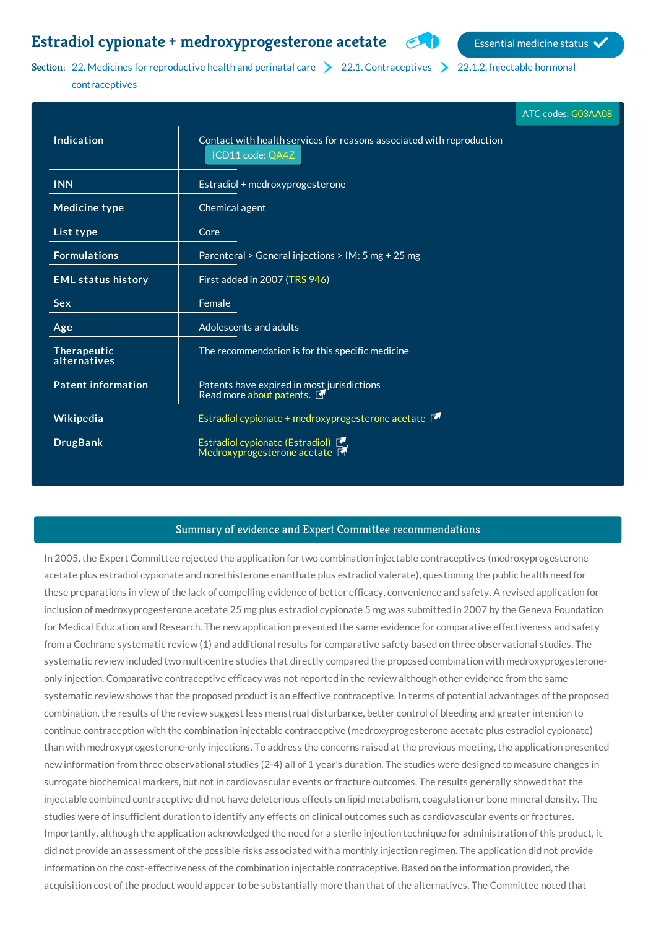## **Estradiol cypionate** + **[medroxyprogesterone](http://list.essentialmeds.org/medicines/188) acetate** Essential medicine status  $\sim$

Section: 22. Medicines for [reproductive](http://list.essentialmeds.org/?section=446) health and perinatal care  $\geq 22.1$ . [Contraceptives](http://list.essentialmeds.org/?section=495)  $\geq 22.1.2$ . Injectable hormonal

contraceptives

|                             |                                                                                           | ATC codes: G03AA08 |
|-----------------------------|-------------------------------------------------------------------------------------------|--------------------|
| Indication                  | Contact with health services for reasons associated with reproduction<br>ICD11 code: QA4Z |                    |
| <b>INN</b>                  | Estradiol + medroxyprogesterone                                                           |                    |
| <b>Medicine type</b>        | Chemical agent                                                                            |                    |
| List type                   | Core                                                                                      |                    |
| <b>Formulations</b>         | Parenteral > General injections > IM: 5 mg + 25 mg                                        |                    |
| <b>EML status history</b>   | First added in 2007 (TRS 946)                                                             |                    |
| <b>Sex</b>                  | Female                                                                                    |                    |
| Age                         | Adolescents and adults                                                                    |                    |
| Therapeutic<br>alternatives | The recommendation is for this specific medicine                                          |                    |
| <b>Patent information</b>   | Patents have expired in most jurisdictions<br>Read more about patents.                    |                    |
| Wikipedia                   | Estradiol cypionate + medroxyprogesterone acetate $\blacksquare$                          |                    |
| <b>DrugBank</b>             | Estradiol cypionate (Estradiol) <b>F</b> ,<br>Medroxyprogesterone acetate <b>F</b>        |                    |

## Summary of evidence and Expert Committee recommendations

In 2005, the Expert Committee rejected the application for two combination injectable contraceptives (medroxyprogesterone acetate plus estradiol cypionate and norethisterone enanthate plus estradiol valerate), questioning the public health need for these preparations in view of the lack of compelling evidence of better efficacy, convenience and safety. A revised application for inclusion of medroxyprogesterone acetate 25 mg plus estradiol cypionate 5 mg was submitted in 2007 by the Geneva Foundation for Medical Education and Research. The new application presented the same evidence for comparative effectiveness and safety from a Cochrane systematic review (1) and additional results for comparative safety based on three observational studies. The systematic review included two multicentre studies that directly compared the proposed combination with medroxyprogesteroneonly injection. Comparative contraceptive efficacy was not reported in the review although other evidence from the same systematic review shows that the proposed product is an effective contraceptive. In terms of potential advantages of the proposed combination, the results of the review suggest less menstrual disturbance, better control of bleeding and greater intention to continue contraception with the combination injectable contraceptive (medroxyprogesterone acetate plus estradiol cypionate) than with medroxyprogesterone-only injections. To address the concerns raised at the previous meeting, the application presented new information from three observational studies (2-4) all of 1 year's duration. The studies were designed to measure changes in surrogate biochemical markers, but not in cardiovascular events or fracture outcomes. The results generally showed that the injectable combined contraceptive did not have deleterious effects on lipid metabolism, coagulation or bone mineral density. The studies were of insufficient duration to identify any effects on clinical outcomes such as cardiovascular events or fractures. Importantly, although the application acknowledged the need for a sterile injection technique for administration of this product, it did not provide an assessment of the possible risks associated with a monthly injection regimen. The application did not provide information on the cost-effectiveness of the combination injectable contraceptive. Based on the information provided, the acquisition cost of the product would appear to be substantially more than that of the alternatives. The Committee noted that